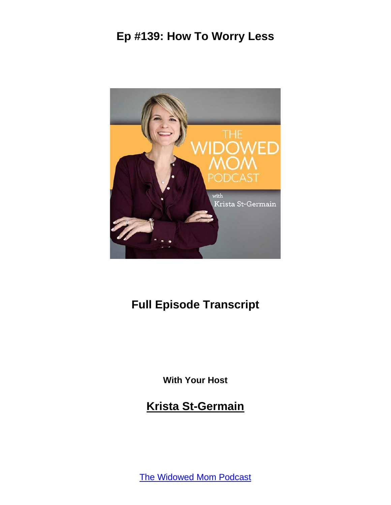

# **Full Episode Transcript**

**With Your Host**

**Krista St-Germain**

[The Widowed Mom Podcast](https://coachingwithkrista.com/podcast)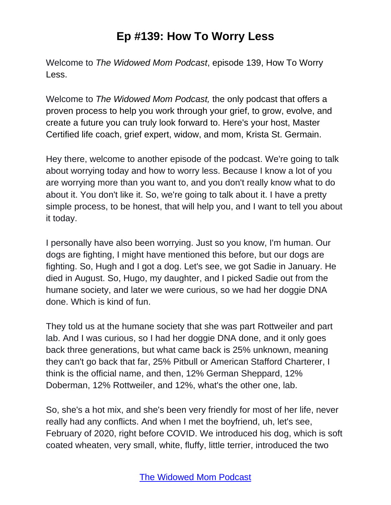Welcome to *The Widowed Mom Podcast*, episode 139, How To Worry Less.

Welcome to *The Widowed Mom Podcast,* the only podcast that offers a proven process to help you work through your grief, to grow, evolve, and create a future you can truly look forward to. Here's your host, Master Certified life coach, grief expert, widow, and mom, Krista St. Germain.

Hey there, welcome to another episode of the podcast. We're going to talk about worrying today and how to worry less. Because I know a lot of you are worrying more than you want to, and you don't really know what to do about it. You don't like it. So, we're going to talk about it. I have a pretty simple process, to be honest, that will help you, and I want to tell you about it today.

I personally have also been worrying. Just so you know, I'm human. Our dogs are fighting, I might have mentioned this before, but our dogs are fighting. So, Hugh and I got a dog. Let's see, we got Sadie in January. He died in August. So, Hugo, my daughter, and I picked Sadie out from the humane society, and later we were curious, so we had her doggie DNA done. Which is kind of fun.

They told us at the humane society that she was part Rottweiler and part lab. And I was curious, so I had her doggie DNA done, and it only goes back three generations, but what came back is 25% unknown, meaning they can't go back that far, 25% Pitbull or American Stafford Charterer, I think is the official name, and then, 12% German Sheppard, 12% Doberman, 12% Rottweiler, and 12%, what's the other one, lab.

So, she's a hot mix, and she's been very friendly for most of her life, never really had any conflicts. And when I met the boyfriend, uh, let's see, February of 2020, right before COVID. We introduced his dog, which is soft coated wheaten, very small, white, fluffy, little terrier, introduced the two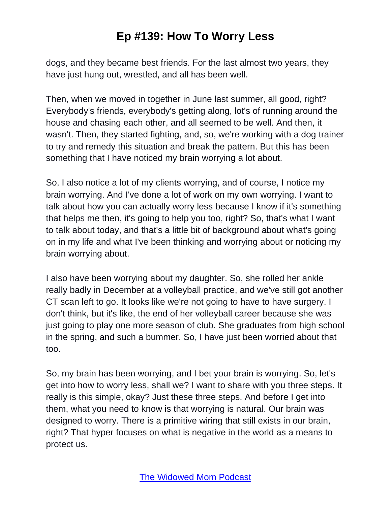dogs, and they became best friends. For the last almost two years, they have just hung out, wrestled, and all has been well.

Then, when we moved in together in June last summer, all good, right? Everybody's friends, everybody's getting along, lot's of running around the house and chasing each other, and all seemed to be well. And then, it wasn't. Then, they started fighting, and, so, we're working with a dog trainer to try and remedy this situation and break the pattern. But this has been something that I have noticed my brain worrying a lot about.

So, I also notice a lot of my clients worrying, and of course, I notice my brain worrying. And I've done a lot of work on my own worrying. I want to talk about how you can actually worry less because I know if it's something that helps me then, it's going to help you too, right? So, that's what I want to talk about today, and that's a little bit of background about what's going on in my life and what I've been thinking and worrying about or noticing my brain worrying about.

I also have been worrying about my daughter. So, she rolled her ankle really badly in December at a volleyball practice, and we've still got another CT scan left to go. It looks like we're not going to have to have surgery. I don't think, but it's like, the end of her volleyball career because she was just going to play one more season of club. She graduates from high school in the spring, and such a bummer. So, I have just been worried about that too.

So, my brain has been worrying, and I bet your brain is worrying. So, let's get into how to worry less, shall we? I want to share with you three steps. It really is this simple, okay? Just these three steps. And before I get into them, what you need to know is that worrying is natural. Our brain was designed to worry. There is a primitive wiring that still exists in our brain, right? That hyper focuses on what is negative in the world as a means to protect us.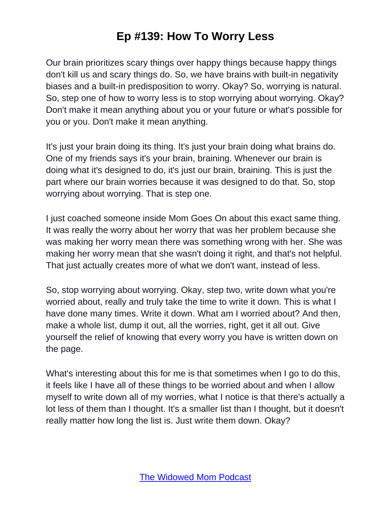Our brain prioritizes scary things over happy things because happy things don't kill us and scary things do. So, we have brains with built-in negativity biases and a built-in predisposition to worry. Okay? So, worrying is natural. So, step one of how to worry less is to stop worrying about worrying. Okay? Don't make it mean anything about you or your future or what's possible for you or you. Don't make it mean anything.

It's just your brain doing its thing. It's just your brain doing what brains do. One of my friends says it's your brain, braining. Whenever our brain is doing what it's designed to do, it's just our brain, braining. This is just the part where our brain worries because it was designed to do that. So, stop worrying about worrying. That is step one.

I just coached someone inside Mom Goes On about this exact same thing. It was really the worry about her worry that was her problem because she was making her worry mean there was something wrong with her. She was making her worry mean that she wasn't doing it right, and that's not helpful. That just actually creates more of what we don't want, instead of less.

So, stop worrying about worrying. Okay, step two, write down what you're worried about, really and truly take the time to write it down. This is what I have done many times. Write it down. What am I worried about? And then, make a whole list, dump it out, all the worries, right, get it all out. Give yourself the relief of knowing that every worry you have is written down on the page.

What's interesting about this for me is that sometimes when I go to do this, it feels like I have all of these things to be worried about and when I allow myself to write down all of my worries, what I notice is that there's actually a lot less of them than I thought. It's a smaller list than I thought, but it doesn't really matter how long the list is. Just write them down. Okay?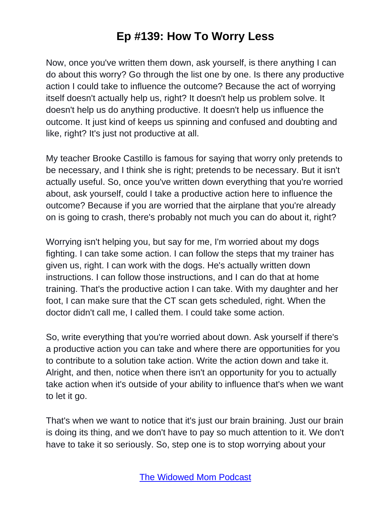Now, once you've written them down, ask yourself, is there anything I can do about this worry? Go through the list one by one. Is there any productive action I could take to influence the outcome? Because the act of worrying itself doesn't actually help us, right? It doesn't help us problem solve. It doesn't help us do anything productive. It doesn't help us influence the outcome. It just kind of keeps us spinning and confused and doubting and like, right? It's just not productive at all.

My teacher Brooke Castillo is famous for saying that worry only pretends to be necessary, and I think she is right; pretends to be necessary. But it isn't actually useful. So, once you've written down everything that you're worried about, ask yourself, could I take a productive action here to influence the outcome? Because if you are worried that the airplane that you're already on is going to crash, there's probably not much you can do about it, right?

Worrying isn't helping you, but say for me, I'm worried about my dogs fighting. I can take some action. I can follow the steps that my trainer has given us, right. I can work with the dogs. He's actually written down instructions. I can follow those instructions, and I can do that at home training. That's the productive action I can take. With my daughter and her foot, I can make sure that the CT scan gets scheduled, right. When the doctor didn't call me, I called them. I could take some action.

So, write everything that you're worried about down. Ask yourself if there's a productive action you can take and where there are opportunities for you to contribute to a solution take action. Write the action down and take it. Alright, and then, notice when there isn't an opportunity for you to actually take action when it's outside of your ability to influence that's when we want to let it go.

That's when we want to notice that it's just our brain braining. Just our brain is doing its thing, and we don't have to pay so much attention to it. We don't have to take it so seriously. So, step one is to stop worrying about your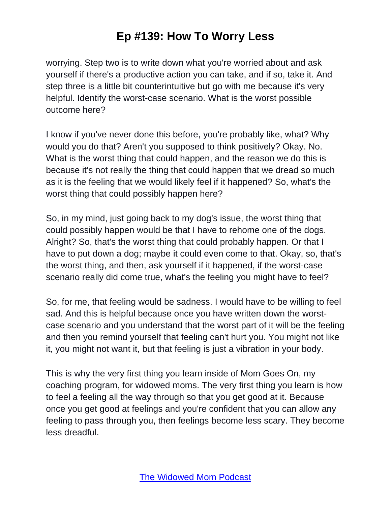worrying. Step two is to write down what you're worried about and ask yourself if there's a productive action you can take, and if so, take it. And step three is a little bit counterintuitive but go with me because it's very helpful. Identify the worst-case scenario. What is the worst possible outcome here?

I know if you've never done this before, you're probably like, what? Why would you do that? Aren't you supposed to think positively? Okay. No. What is the worst thing that could happen, and the reason we do this is because it's not really the thing that could happen that we dread so much as it is the feeling that we would likely feel if it happened? So, what's the worst thing that could possibly happen here?

So, in my mind, just going back to my dog's issue, the worst thing that could possibly happen would be that I have to rehome one of the dogs. Alright? So, that's the worst thing that could probably happen. Or that I have to put down a dog; maybe it could even come to that. Okay, so, that's the worst thing, and then, ask yourself if it happened, if the worst-case scenario really did come true, what's the feeling you might have to feel?

So, for me, that feeling would be sadness. I would have to be willing to feel sad. And this is helpful because once you have written down the worstcase scenario and you understand that the worst part of it will be the feeling and then you remind yourself that feeling can't hurt you. You might not like it, you might not want it, but that feeling is just a vibration in your body.

This is why the very first thing you learn inside of Mom Goes On, my coaching program, for widowed moms. The very first thing you learn is how to feel a feeling all the way through so that you get good at it. Because once you get good at feelings and you're confident that you can allow any feeling to pass through you, then feelings become less scary. They become less dreadful.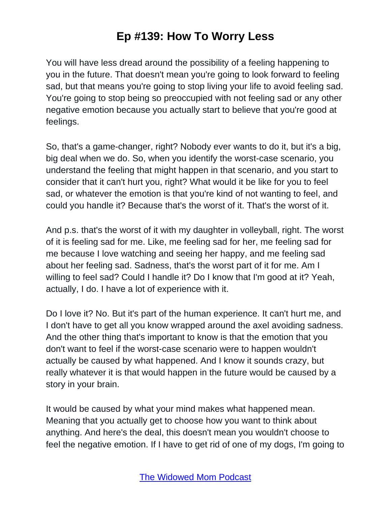You will have less dread around the possibility of a feeling happening to you in the future. That doesn't mean you're going to look forward to feeling sad, but that means you're going to stop living your life to avoid feeling sad. You're going to stop being so preoccupied with not feeling sad or any other negative emotion because you actually start to believe that you're good at feelings.

So, that's a game-changer, right? Nobody ever wants to do it, but it's a big, big deal when we do. So, when you identify the worst-case scenario, you understand the feeling that might happen in that scenario, and you start to consider that it can't hurt you, right? What would it be like for you to feel sad, or whatever the emotion is that you're kind of not wanting to feel, and could you handle it? Because that's the worst of it. That's the worst of it.

And p.s. that's the worst of it with my daughter in volleyball, right. The worst of it is feeling sad for me. Like, me feeling sad for her, me feeling sad for me because I love watching and seeing her happy, and me feeling sad about her feeling sad. Sadness, that's the worst part of it for me. Am I willing to feel sad? Could I handle it? Do I know that I'm good at it? Yeah, actually, I do. I have a lot of experience with it.

Do I love it? No. But it's part of the human experience. It can't hurt me, and I don't have to get all you know wrapped around the axel avoiding sadness. And the other thing that's important to know is that the emotion that you don't want to feel if the worst-case scenario were to happen wouldn't actually be caused by what happened. And I know it sounds crazy, but really whatever it is that would happen in the future would be caused by a story in your brain.

It would be caused by what your mind makes what happened mean. Meaning that you actually get to choose how you want to think about anything. And here's the deal, this doesn't mean you wouldn't choose to feel the negative emotion. If I have to get rid of one of my dogs, I'm going to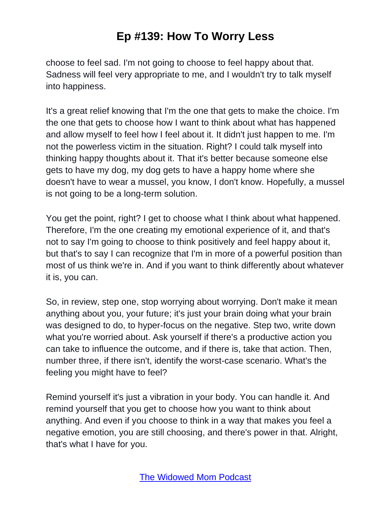choose to feel sad. I'm not going to choose to feel happy about that. Sadness will feel very appropriate to me, and I wouldn't try to talk myself into happiness.

It's a great relief knowing that I'm the one that gets to make the choice. I'm the one that gets to choose how I want to think about what has happened and allow myself to feel how I feel about it. It didn't just happen to me. I'm not the powerless victim in the situation. Right? I could talk myself into thinking happy thoughts about it. That it's better because someone else gets to have my dog, my dog gets to have a happy home where she doesn't have to wear a mussel, you know, I don't know. Hopefully, a mussel is not going to be a long-term solution.

You get the point, right? I get to choose what I think about what happened. Therefore, I'm the one creating my emotional experience of it, and that's not to say I'm going to choose to think positively and feel happy about it, but that's to say I can recognize that I'm in more of a powerful position than most of us think we're in. And if you want to think differently about whatever it is, you can.

So, in review, step one, stop worrying about worrying. Don't make it mean anything about you, your future; it's just your brain doing what your brain was designed to do, to hyper-focus on the negative. Step two, write down what you're worried about. Ask yourself if there's a productive action you can take to influence the outcome, and if there is, take that action. Then, number three, if there isn't, identify the worst-case scenario. What's the feeling you might have to feel?

Remind yourself it's just a vibration in your body. You can handle it. And remind yourself that you get to choose how you want to think about anything. And even if you choose to think in a way that makes you feel a negative emotion, you are still choosing, and there's power in that. Alright, that's what I have for you.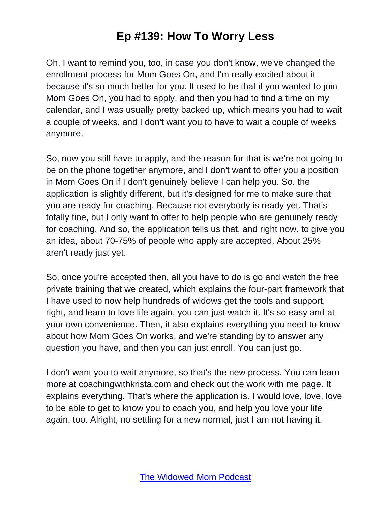Oh, I want to remind you, too, in case you don't know, we've changed the enrollment process for Mom Goes On, and I'm really excited about it because it's so much better for you. It used to be that if you wanted to join Mom Goes On, you had to apply, and then you had to find a time on my calendar, and I was usually pretty backed up, which means you had to wait a couple of weeks, and I don't want you to have to wait a couple of weeks anymore.

So, now you still have to apply, and the reason for that is we're not going to be on the phone together anymore, and I don't want to offer you a position in Mom Goes On if I don't genuinely believe I can help you. So, the application is slightly different, but it's designed for me to make sure that you are ready for coaching. Because not everybody is ready yet. That's totally fine, but I only want to offer to help people who are genuinely ready for coaching. And so, the application tells us that, and right now, to give you an idea, about 70-75% of people who apply are accepted. About 25% aren't ready just yet.

So, once you're accepted then, all you have to do is go and watch the free private training that we created, which explains the four-part framework that I have used to now help hundreds of widows get the tools and support, right, and learn to love life again, you can just watch it. It's so easy and at your own convenience. Then, it also explains everything you need to know about how Mom Goes On works, and we're standing by to answer any question you have, and then you can just enroll. You can just go.

I don't want you to wait anymore, so that's the new process. You can learn more at coachingwithkrista.com and check out the work with me page. It explains everything. That's where the application is. I would love, love, love to be able to get to know you to coach you, and help you love your life again, too. Alright, no settling for a new normal, just I am not having it.